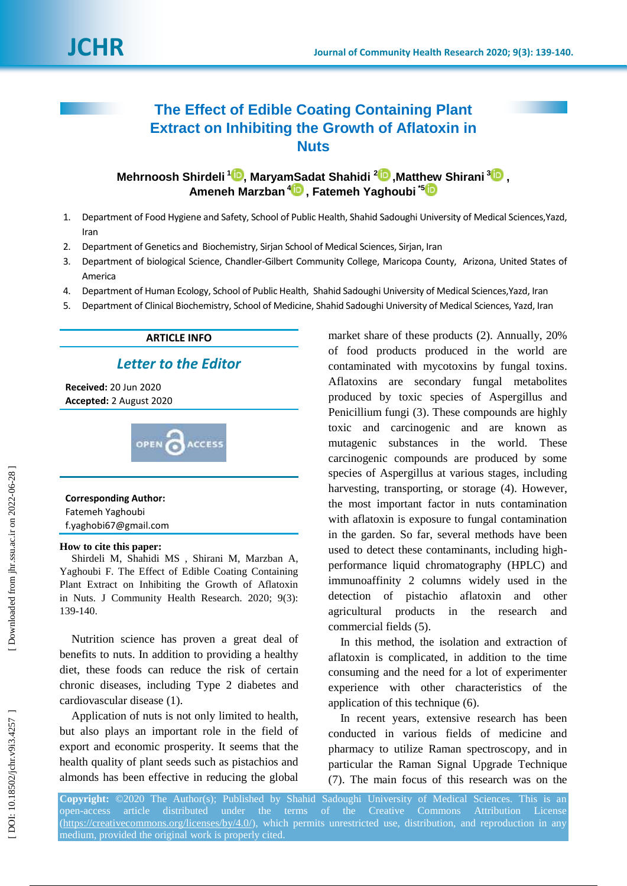# **The Effect of Edible Coating Containing Plant Extract on Inhibiting the Growth of Aflatoxin in Nuts**

**Mehrnoosh Shirdeli <sup>1</sup>D, Marya[mSa](https://orcid.org/0000-0002-8111-3319)dat Shahidi <sup>2</sup>D, Matt[hew](https://orcid.org/ 0000-0001-7799-2106) Shirani <sup>[3](https://orcid.org/0000-0003-2580-6943)</sup>D, Ameneh Marzban 4 , Fatemeh Yaghoubi \* 5**

- 1 . Department of Food Hygiene and Safety, School of Public Health, Shahid Sadoughi University of Medical Sciences,Yazd, Iran
- 2 . Department of Genetics a nd Biochemistry, Sirjan School of Medical Sciences, Sirjan, Iran
- 3 . Department of biological Science, Chandler-Gilbert Community College, Maricopa County, Arizona, United States of America
- 4 . Department of Human Ecology, School of Public Health, Shahid Sadoughi University of Medical Sciences,Yazd, Iran
- 5 . Department of Clinical Biochemistry, School of Medicine, Shahid Sadoughi University of Medical Sciences, Yazd, Iran

## **ARTICLE INFO**

*Letter to the Editor*

**Received:** 20 Jun 2020 **Accepted:** 2 August 2020



**Corresponding Author:** Fatemeh Yaghoubi f.yaghobi67@gmail.com

### **How to cite this paper:**

Shirdeli M, Shahidi MS , Shirani M, Marzban A, Yaghoubi F. The Effect of Edible Coating Containing Plant Extract on Inhibiting the Growth of Aflatoxin in Nuts. J Community Health Research. 2020; 9(3): 139 -140 .

Nutrition science has proven a great deal of benefits to nuts. In addition to providing a healthy diet, these foods can reduce the risk of certain chronic diseases, including Type 2 diabetes and cardiovascular disease (1) .

Application of nuts is not only limited to health, but also plays an important role in the field of export and economic prosperity. It seems that the health quality of plant seeds such as pistachios and almonds has been effective in reducing the global

market share of these products (2) . Annually, 20% of food products produced in the world are contaminated with mycotoxins by fungal toxins . Aflatoxins are secondary fungal metabolites produced by toxic species of Aspergillus and Penicillium fungi (3). These compounds are highly toxic and carcinogenic and are known as mutagenic substances in the world. These carcinogenic compounds are produced by some species of Aspergillus at various stages, including harvesting, transporting , or storage (4) . However, the most important factor in nuts contamination with aflatoxin is exposure to fungal contamination in the garden. So far, several methods have been used to detect these contaminants, including high performance liquid chromatography (HPLC) and immunoaffinity 2 columns widely used in the detection of pistachio aflatoxin and other agricultural products in the research and commercial fields (5) .

In this method, the isolation and extraction of aflatoxin is complicated, in addition to the time consuming and the need for a lot of experimenter experience with other characteristics of the application of this technique (6) .

In recent years, extensive research has been conducted in various fields of medicine and pharmacy to utilize Raman spectroscopy, and in particular the Raman Signal Upgrade Technique (7) . The main focus of this research was on the

**Copyright:** ©2020 The Author(s); Published by Shahid Sadoughi University of Medical Sciences. This is an open-access article distributed under [\(https://creativecommons.org/licenses/by/4.0/\)](https://creativecommons.org/licenses/by/4.0/), which permits unrestricted use, distribution, and reproduction in any medium, provided the original work is properly cited.